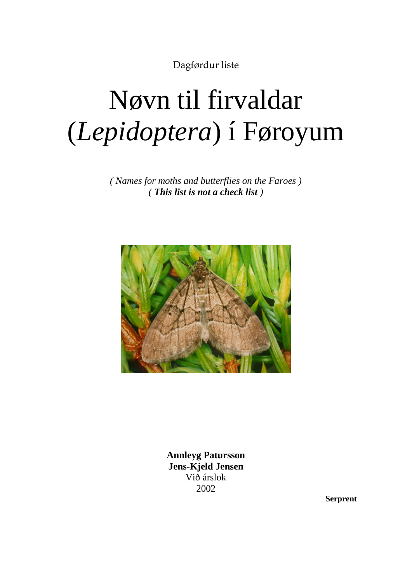Dagførdur liste

# Nøvn til firvaldar (*Lepidoptera*) í Føroyum

*( Names for moths and butterflies on the Faroes ) ( This list is not a check list )*



**Annleyg Patursson Jens-Kjeld Jensen** Við árslok 2002

**Serprent**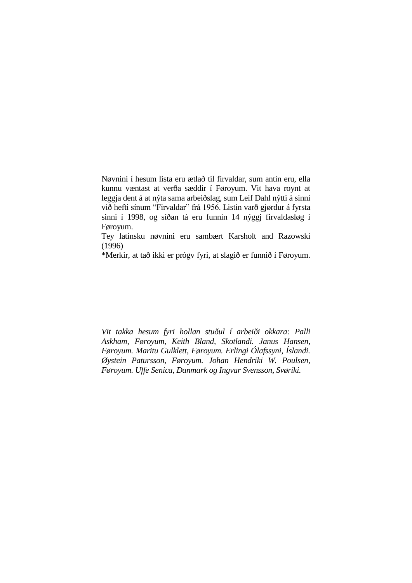Nøvnini í hesum lista eru ætlað til firvaldar, sum antin eru, ella kunnu væntast at verða sæddir í Føroyum. Vit hava roynt at leggja dent á at nýta sama arbeiðslag, sum Leif Dahl nýtti á sinni við hefti sínum "Firvaldar" frá 1956. Listin varð gjørdur á fyrsta sinni í 1998, og síðan tá eru funnin 14 nýggj firvaldasløg í Føroyum.

Tey latínsku nøvnini eru sambært Karsholt and Razowski (1996)

\*Merkir, at tað ikki er prógv fyri, at slagið er funnið í Føroyum.

*Vit takka hesum fyri hollan stuðul í arbeiði okkara: Palli Askham, Føroyum, Keith Bland, Skotlandi. Janus Hansen, Føroyum. Maritu Gulklett, Føroyum. Erlingi Ólafssyni, Íslandi. Øystein Patursson, Føroyum. Johan Hendriki W. Poulsen, Føroyum. Uffe Senica, Danmark og Ingvar Svensson, Svøríki.*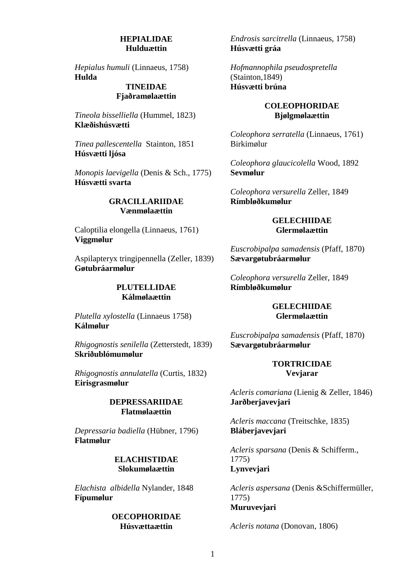#### **HEPIALIDAE Hulduættin**

*Hepialus humuli* (Linnaeus, 1758) **Hulda**

# **TINEIDAE Fjaðramølaættin**

*Tineola bisselliella* (Hummel, 1823) **Klæðishúsvætti**

*Tinea pallescentella* Stainton, 1851 **Húsvætti ljósa**

*Monopis laevigella* (Denis & Sch., 1775) **Húsvætti svarta**

#### **GRACILLARIIDAE Vænmølaættin**

Caloptilia elongella (Linnaeus, 1761) **Viggmølur**

Aspilapteryx tringipennella (Zeller, 1839) **Gøtubráarmølur**

## **PLUTELLIDAE Kálmølaættin**

*Plutella xylostella* (Linnaeus 1758) **Kálmølur**

*Rhigognostis senilella* (Zetterstedt, 1839) **Skriðublómumølur**

*Rhigognostis annulatella* (Curtis, 1832) **Eirisgrasmølur**

#### **DEPRESSARIIDAE Flatmølaættin**

*Depressaria badiella* (Hübner, 1796) **Flatmølur**

# **ELACHISTIDAE Slokumølaættin**

*Elachista albidella* Nylander, 1848 **Fípumølur**

#### **OECOPHORIDAE Húsvættaættin**

*Endrosis sarcitrella* (Linnaeus, 1758) **Húsvætti gráa**

*Hofmannophila pseudospretella* (Stainton,1849) **Húsvætti brúna**

# **COLEOPHORIDAE Bjølgmølaættin**

*Coleophora serratella* (Linnaeus, 1761) Birkimølur

*Coleophora glaucicolella* Wood, 1892 **Sevmølur**

*Coleophora versurella* Zeller, 1849 **Rímbløðkumølur**

## **GELECHIIDAE Glermølaættin**

*Euscrobipalpa samadensis* (Pfaff, 1870) **Sævargøtubráarmølur**

*Coleophora versurella* Zeller, 1849 **Rímbløðkumølur**

#### **GELECHIIDAE Glermølaættin**

*Euscrobipalpa samadensis* (Pfaff, 1870) **Sævargøtubráarmølur**

# **TORTRICIDAE Vevjarar**

*Acleris comariana* (Lienig & Zeller, 1846) **Jarðberjavevjari**

*Acleris maccana* (Treitschke, 1835) **Bláberjavevjari**

*Acleris sparsana* (Denis & Schifferm., 1775) **Lynvevjari**

*Acleris aspersana* (Denis &Schiffermüller, 1775) **Muruvevjari**

*Acleris notana* (Donovan, 1806)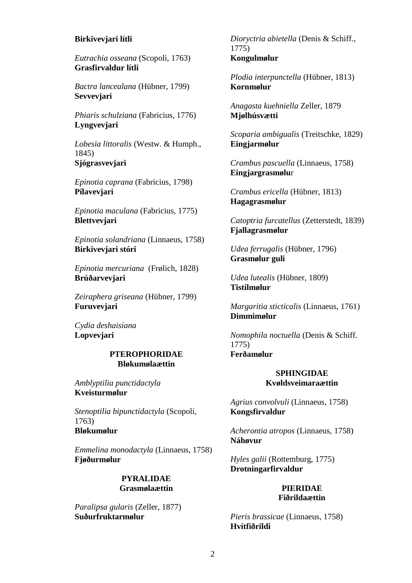## **Birkivevjari lítli**

*Eutrachia osseana* (Scopoli, 1763) **Grasfirvaldur lítli**

*Bactra lancealana* (Hübner, 1799) **Sevvevjari**

*Phiaris schulziana* (Fabricius, 1776) **Lyngvevjari**

*Lobesia littoralis* (Westw. & Humph., 1845) **Sjógrasvevjari** 

*Epinotia caprana* (Fabricius, 1798) **Pílavevjari**

*Epinotia maculana* (Fabricius, 1775) **Blettvevjari**

*Epinotia solandriana* (Linnaeus, 1758) **Birkivevjari stóri**

*Epinotia mercuriana* (Frølich, 1828) **Brúðarvevjari**

*Zeiraphera griseana* (Hübner, 1799) **Furuvevjari** 

*Cydia deshaisiana* **Lopvevjari**

# **PTEROPHORIDAE Bløkumølaættin**

*Amblyptilia punctidactyla* **Kveisturmølur**

*Stenoptilia bipunctidactyla* (Scopoli, 1763) **Bløkumølur**

*Emmelina monodactyla* (Linnaeus, 1758) **Fjøðurmølur**

# **PYRALIDAE Grasmølaættin**

*Paralipsa gularis* (Zeller, 1877) **Suðurfruktarmølur**

*Dioryctria abietella* (Denis & Schiff., 1775) **Kongulmølur**

*Plodia interpunctella* (Hübner, 1813) **Kornmølur**

*Anagasta kuehniella* Zeller, 1879 **Mjølhúsvætti**

*Scoparia ambigualis* (Treitschke, 1829) **Eingjarmølur**

*Crambus pascuella* (Linnaeus, 1758) **Eingjargrasmølu**r

*Crambus ericella* (Hübner, 1813) **Hagagrasmølur**

*Catoptria furcatellus* (Zetterstedt, 1839) **Fjallagrasmølur**

*Udea ferrugalis* (Hübner, 1796) **Grasmølur guli**

*Udea lutealis* (Hübner, 1809) **Tistilmølur**

*Margaritia sticticalis* (Linnaeus, 1761) **Dimmimølur**

*Nomophila noctuella* (Denis & Schiff. 1775) **Ferðamølur** 

#### **SPHINGIDAE Kvøldsveimaraættin**

*Agrius convolvuli* (Linnaeus, 1758) **Kongsfirvaldur**

*Acherontia atropos* (Linnaeus, 1758) **Náhøvur**

*Hyles galii* (Rottemburg, 1775) **Drotningarfirvaldur**

#### **PIERIDAE Fiðrildaættin**

*Pieris brassicae* (Linnaeus, 1758) **Hvítfiðrildi**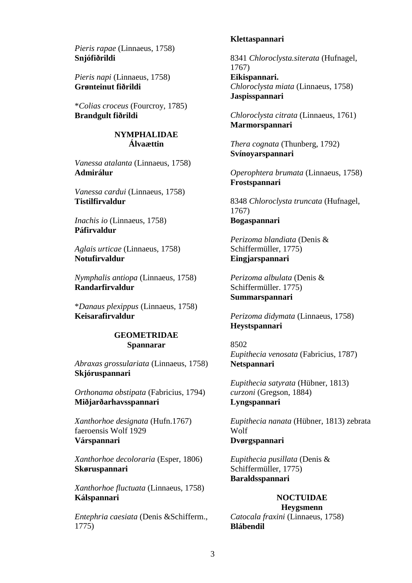*Pieris rapae* (Linnaeus, 1758) **Snjófiðrildi**

*Pieris napi* (Linnaeus, 1758) **Grønteinut fiðrildi**

\**Colias croceus* (Fourcroy, 1785) **Brandgult fiðrildi**

> **NYMPHALIDAE Álvaættin**

*Vanessa atalanta* (Linnaeus, 1758) **Admirálur**

*Vanessa cardui* (Linnaeus, 1758) **Tistilfirvaldur**

*Inachis io* (Linnaeus, 1758) **Páfirvaldur**

*Aglais urticae* (Linnaeus, 1758) **Notufirvaldur**

*Nymphalis antiopa* (Linnaeus, 1758) **Randarfirvaldur**

\**Danaus plexippus* (Linnaeus, 1758) **Keisarafirvaldur**

#### **GEOMETRIDAE Spannarar**

*Abraxas grossulariata* (Linnaeus, 1758) **Skjóruspannari**

*Orthonama obstipata* (Fabricius, 1794) **Miðjarðarhavsspannari**

*Xanthorhoe designata* (Hufn.1767) faeroensis Wolf 1929 **Várspannari**

*Xanthorhoe decoloraria* (Esper, 1806) **Skøruspannari**

*Xanthorhoe fluctuata* (Linnaeus, 1758) **Kálspannari**

*Entephria caesiata* (Denis &Schifferm., 1775)

#### **Klettaspannari**

8341 *Chloroclysta.siterata* (Hufnagel, 1767) **Eikispannari.** *Chloroclysta miata* (Linnaeus, 1758) **Jaspisspannari**

*Chloroclysta citrata* (Linnaeus, 1761) **Marmorspannari**

*Thera cognata* (Thunberg, 1792) **Svínoyarspannari**

*Operophtera brumata* (Linnaeus, 1758) **Frostspannari**

8348 *Chloroclysta truncata* (Hufnagel, 1767) **Bogaspannari**

*Perizoma blandiata* (Denis & Schiffermüller, 1775) **Eingjarspannari**

*Perizoma albulata* (Denis & Schiffermüller. 1775) **Summarspannari**

*Perizoma didymata* (Linnaeus, 1758) **Heystspannari**

8502 *Eupithecia venosata* (Fabricius, 1787) **Netspannari**

*Eupithecia satyrata* (Hübner, 1813) *curzoni* (Gregson, 1884) **Lyngspannari**

*Eupithecia nanata* (Hübner, 1813) zebrata Wolf **Dvørgspannari**

*Eupithecia pusillata* (Denis & Schiffermüller, 1775) **Baraldsspannari**

#### **NOCTUIDAE Heygsmenn**

*Catocala fraxini* (Linnaeus, 1758) **Blábendil**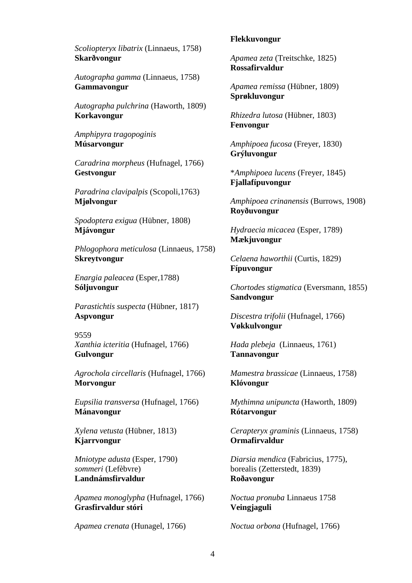*Scoliopteryx libatrix* (Linnaeus, 1758) **Skarðvongur**

*Autographa gamma* (Linnaeus, 1758) **Gammavongur**

*Autographa pulchrina* (Haworth, 1809) **Korkavongur**

*Amphipyra tragopoginis* **Músarvongur** 

*Caradrina morpheus* (Hufnagel, 1766) **Gestvongur**

*Paradrina clavipalpis* (Scopoli,1763) **Mjølvongur**

*Spodoptera exigua* (Hübner, 1808) **Mjávongur**

*Phlogophora meticulosa* (Linnaeus, 1758) **Skreytvongur**

*Enargia paleacea* (Esper,1788) **Sóljuvongur**

*Parastichtis suspecta* (Hübner, 1817) **Aspvongur**

9559 *Xanthia icteritia* (Hufnagel, 1766) **Gulvongur** 

*Agrochola circellaris* (Hufnagel, 1766) **Morvongur**

*Eupsilia transversa* (Hufnagel, 1766) **Mánavongur**

*Xylena vetusta* (Hübner, 1813) **Kjarrvongur**

*Mniotype adusta* (Esper, 1790) *sommeri* (Lefèbvre) **Landnámsfirvaldur**

*Apamea monoglypha* (Hufnagel, 1766) **Grasfirvaldur stóri**

*Apamea crenata* (Hunagel, 1766)

#### **Flekkuvongur**

*Apamea zeta* (Treitschke, 1825) **Rossafirvaldur**

*Apamea remissa* (Hübner, 1809) **Sprøkluvongur**

*Rhizedra lutosa* (Hübner, 1803) **Fenvongur**

*Amphipoea fucosa* (Freyer, 1830) **Grýluvongur**

\**Amphipoea lucens* (Freyer, 1845) **Fjallafípuvongur**

*Amphipoea crinanensis* (Burrows, 1908) **Royðuvongur**

*Hydraecia micacea* (Esper, 1789) **Mækjuvongur**

*Celaena haworthii* (Curtis, 1829) **Fípuvongur**

*Chortodes stigmatica* (Eversmann, 1855) **Sandvongur**

*Discestra trifolii* (Hufnagel, 1766) **Vøkkulvongur**

*Hada plebeja* (Linnaeus, 1761) **Tannavongur**

*Mamestra brassicae* (Linnaeus, 1758) **Klóvongur**

*Mythimna unipuncta* (Haworth, 1809) **Rótarvongur**

*Cerapteryx graminis* (Linnaeus, 1758) **Ormafirvaldur**

*Diarsia mendica* (Fabricius, 1775), borealis (Zetterstedt, 1839) **Roðavongur**

*Noctua pronuba* Linnaeus 1758 **Veingjaguli**

*Noctua orbona* (Hufnagel, 1766)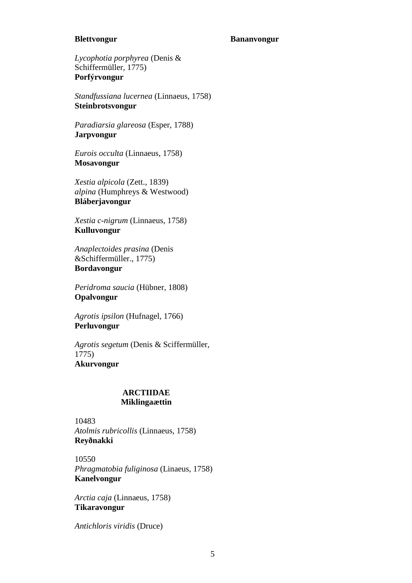#### **Blettvongur**

#### **Bananvongur**

*Lycophotia porphyrea* (Denis & Schiffermüller, 1775) **Porfýrvongur**

*Standfussiana lucernea* (Linnaeus, 1758) **Steinbrotsvongur**

*Paradiarsia glareosa* (Esper, 1788) **Jarpvongur**

*Eurois occulta* (Linnaeus, 1758) **Mosavongur** 

*Xestia alpicola* (Zett., 1839) *alpina* (Humphreys & Westwood) **Bláberjavongur**

*Xestia c-nigrum* (Linnaeus, 1758) **Kulluvongur**

*Anaplectoides prasina* (Denis &Schiffermüller., 1775) **Bordavongur**

*Peridroma saucia* (Hübner, 1808) **Opalvongur**

*Agrotis ipsilon* (Hufnagel, 1766) **Perluvongur** 

*Agrotis segetum* (Denis & Sciffermüller, 1775) **Akurvongur**

## **ARCTIIDAE Miklingaættin**

10483 *Atolmis rubricollis* (Linnaeus, 1758) **Reyðnakki** 

10550 *Phragmatobia fuliginosa* (Linaeus, 1758) **Kanelvongur**

*Arctia caja* (Linnaeus, 1758) **Tikaravongur**

*Antichloris viridis* (Druce)